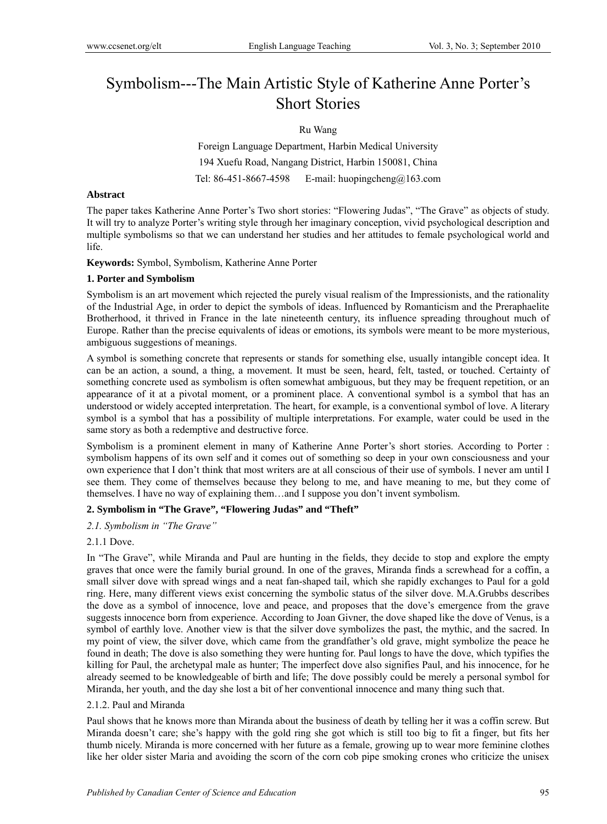# Symbolism---The Main Artistic Style of Katherine Anne Porter's Short Stories

### Ru Wang

Foreign Language Department, Harbin Medical University 194 Xuefu Road, Nangang District, Harbin 150081, China Tel: 86-451-8667-4598 E-mail: huopingcheng@163.com

### **Abstract**

The paper takes Katherine Anne Porter's Two short stories: "Flowering Judas", "The Grave" as objects of study. It will try to analyze Porter's writing style through her imaginary conception, vivid psychological description and multiple symbolisms so that we can understand her studies and her attitudes to female psychological world and life.

**Keywords:** Symbol, Symbolism, Katherine Anne Porter

### **1. Porter and Symbolism**

Symbolism is an art movement which rejected the purely visual realism of the Impressionists, and the rationality of the Industrial Age, in order to depict the symbols of ideas. Influenced by Romanticism and the Preraphaelite Brotherhood, it thrived in France in the late nineteenth century, its influence spreading throughout much of Europe. Rather than the precise equivalents of ideas or emotions, its symbols were meant to be more mysterious, ambiguous suggestions of meanings.

A symbol is something concrete that represents or stands for something else, usually intangible concept idea. It can be an action, a sound, a thing, a movement. It must be seen, heard, felt, tasted, or touched. Certainty of something concrete used as symbolism is often somewhat ambiguous, but they may be frequent repetition, or an appearance of it at a pivotal moment, or a prominent place. A conventional symbol is a symbol that has an understood or widely accepted interpretation. The heart, for example, is a conventional symbol of love. A literary symbol is a symbol that has a possibility of multiple interpretations. For example, water could be used in the same story as both a redemptive and destructive force.

Symbolism is a prominent element in many of Katherine Anne Porter's short stories. According to Porter : symbolism happens of its own self and it comes out of something so deep in your own consciousness and your own experience that I don't think that most writers are at all conscious of their use of symbols. I never am until I see them. They come of themselves because they belong to me, and have meaning to me, but they come of themselves. I have no way of explaining them…and I suppose you don't invent symbolism.

### **2. Symbolism in "The Grave", "Flowering Judas" and "Theft"**

*2.1. Symbolism in "The Grave"* 

### 2.1.1 Dove.

In "The Grave", while Miranda and Paul are hunting in the fields, they decide to stop and explore the empty graves that once were the family burial ground. In one of the graves, Miranda finds a screwhead for a coffin, a small silver dove with spread wings and a neat fan-shaped tail, which she rapidly exchanges to Paul for a gold ring. Here, many different views exist concerning the symbolic status of the silver dove. M.A.Grubbs describes the dove as a symbol of innocence, love and peace, and proposes that the dove's emergence from the grave suggests innocence born from experience. According to Joan Givner, the dove shaped like the dove of Venus, is a symbol of earthly love. Another view is that the silver dove symbolizes the past, the mythic, and the sacred. In my point of view, the silver dove, which came from the grandfather's old grave, might symbolize the peace he found in death; The dove is also something they were hunting for. Paul longs to have the dove, which typifies the killing for Paul, the archetypal male as hunter; The imperfect dove also signifies Paul, and his innocence, for he already seemed to be knowledgeable of birth and life; The dove possibly could be merely a personal symbol for Miranda, her youth, and the day she lost a bit of her conventional innocence and many thing such that.

### 2.1.2. Paul and Miranda

Paul shows that he knows more than Miranda about the business of death by telling her it was a coffin screw. But Miranda doesn't care; she's happy with the gold ring she got which is still too big to fit a finger, but fits her thumb nicely. Miranda is more concerned with her future as a female, growing up to wear more feminine clothes like her older sister Maria and avoiding the scorn of the corn cob pipe smoking crones who criticize the unisex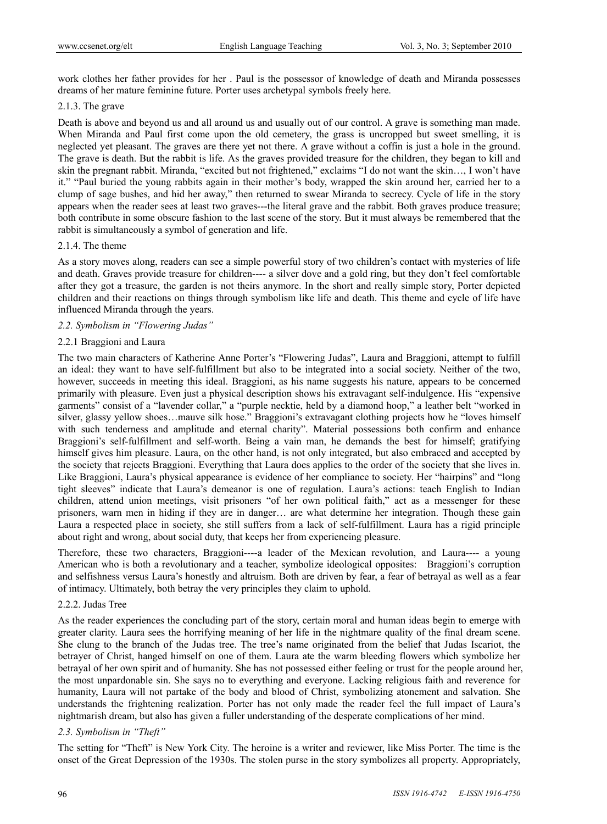work clothes her father provides for her . Paul is the possessor of knowledge of death and Miranda possesses dreams of her mature feminine future. Porter uses archetypal symbols freely here.

## 2.1.3. The grave

Death is above and beyond us and all around us and usually out of our control. A grave is something man made. When Miranda and Paul first come upon the old cemetery, the grass is uncropped but sweet smelling, it is neglected yet pleasant. The graves are there yet not there. A grave without a coffin is just a hole in the ground. The grave is death. But the rabbit is life. As the graves provided treasure for the children, they began to kill and skin the pregnant rabbit. Miranda, "excited but not frightened," exclaims "I do not want the skin…, I won't have it." "Paul buried the young rabbits again in their mother's body, wrapped the skin around her, carried her to a clump of sage bushes, and hid her away," then returned to swear Miranda to secrecy. Cycle of life in the story appears when the reader sees at least two graves---the literal grave and the rabbit. Both graves produce treasure; both contribute in some obscure fashion to the last scene of the story. But it must always be remembered that the rabbit is simultaneously a symbol of generation and life.

### 2.1.4. The theme

As a story moves along, readers can see a simple powerful story of two children's contact with mysteries of life and death. Graves provide treasure for children---- a silver dove and a gold ring, but they don't feel comfortable after they got a treasure, the garden is not theirs anymore. In the short and really simple story, Porter depicted children and their reactions on things through symbolism like life and death. This theme and cycle of life have influenced Miranda through the years.

# *2.2. Symbolism in "Flowering Judas"*

# 2.2.1 Braggioni and Laura

The two main characters of Katherine Anne Porter's "Flowering Judas", Laura and Braggioni, attempt to fulfill an ideal: they want to have self-fulfillment but also to be integrated into a social society. Neither of the two, however, succeeds in meeting this ideal. Braggioni, as his name suggests his nature, appears to be concerned primarily with pleasure. Even just a physical description shows his extravagant self-indulgence. His "expensive garments" consist of a "lavender collar," a "purple necktie, held by a diamond hoop," a leather belt "worked in silver, glassy yellow shoes…mauve silk hose." Braggioni's extravagant clothing projects how he "loves himself with such tenderness and amplitude and eternal charity". Material possessions both confirm and enhance Braggioni's self-fulfillment and self-worth. Being a vain man, he demands the best for himself; gratifying himself gives him pleasure. Laura, on the other hand, is not only integrated, but also embraced and accepted by the society that rejects Braggioni. Everything that Laura does applies to the order of the society that she lives in. Like Braggioni, Laura's physical appearance is evidence of her compliance to society. Her "hairpins" and "long tight sleeves" indicate that Laura's demeanor is one of regulation. Laura's actions: teach English to Indian children, attend union meetings, visit prisoners "of her own political faith," act as a messenger for these prisoners, warn men in hiding if they are in danger… are what determine her integration. Though these gain Laura a respected place in society, she still suffers from a lack of self-fulfillment. Laura has a rigid principle about right and wrong, about social duty, that keeps her from experiencing pleasure.

Therefore, these two characters, Braggioni----a leader of the Mexican revolution, and Laura---- a young American who is both a revolutionary and a teacher, symbolize ideological opposites: Braggioni's corruption and selfishness versus Laura's honestly and altruism. Both are driven by fear, a fear of betrayal as well as a fear of intimacy. Ultimately, both betray the very principles they claim to uphold.

### 2.2.2. Judas Tree

As the reader experiences the concluding part of the story, certain moral and human ideas begin to emerge with greater clarity. Laura sees the horrifying meaning of her life in the nightmare quality of the final dream scene. She clung to the branch of the Judas tree. The tree's name originated from the belief that Judas Iscariot, the betrayer of Christ, hanged himself on one of them. Laura ate the warm bleeding flowers which symbolize her betrayal of her own spirit and of humanity. She has not possessed either feeling or trust for the people around her, the most unpardonable sin. She says no to everything and everyone. Lacking religious faith and reverence for humanity, Laura will not partake of the body and blood of Christ, symbolizing atonement and salvation. She understands the frightening realization. Porter has not only made the reader feel the full impact of Laura's nightmarish dream, but also has given a fuller understanding of the desperate complications of her mind.

### *2.3. Symbolism in "Theft"*

The setting for "Theft" is New York City. The heroine is a writer and reviewer, like Miss Porter. The time is the onset of the Great Depression of the 1930s. The stolen purse in the story symbolizes all property. Appropriately,